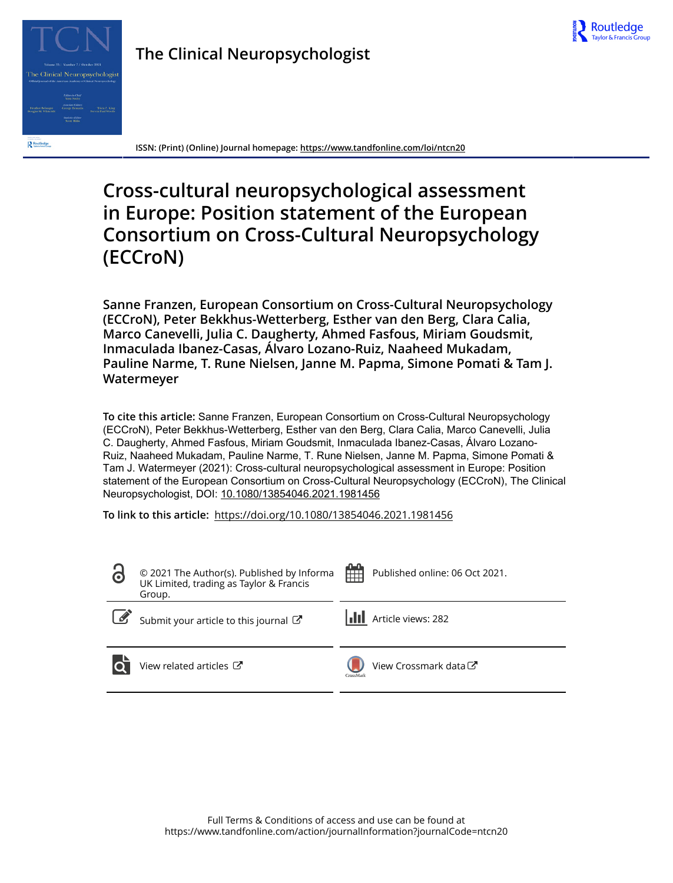



**ISSN: (Print) (Online) Journal homepage:<https://www.tandfonline.com/loi/ntcn20>**

# **Cross-cultural neuropsychological assessment in Europe: Position statement of the European Consortium on Cross-Cultural Neuropsychology (ECCroN)**

**Sanne Franzen, European Consortium on Cross-Cultural Neuropsychology (ECCroN), Peter Bekkhus-Wetterberg, Esther van den Berg, Clara Calia, Marco Canevelli, Julia C. Daugherty, Ahmed Fasfous, Miriam Goudsmit, Inmaculada Ibanez-Casas, Álvaro Lozano-Ruiz, Naaheed Mukadam, Pauline Narme, T. Rune Nielsen, Janne M. Papma, Simone Pomati & Tam J. Watermeyer**

**To cite this article:** Sanne Franzen, European Consortium on Cross-Cultural Neuropsychology (ECCroN), Peter Bekkhus-Wetterberg, Esther van den Berg, Clara Calia, Marco Canevelli, Julia C. Daugherty, Ahmed Fasfous, Miriam Goudsmit, Inmaculada Ibanez-Casas, Álvaro Lozano-Ruiz, Naaheed Mukadam, Pauline Narme, T. Rune Nielsen, Janne M. Papma, Simone Pomati & Tam J. Watermeyer (2021): Cross-cultural neuropsychological assessment in Europe: Position statement of the European Consortium on Cross-Cultural Neuropsychology (ECCroN), The Clinical Neuropsychologist, DOI: [10.1080/13854046.2021.1981456](https://www.tandfonline.com/action/showCitFormats?doi=10.1080/13854046.2021.1981456)

**To link to this article:** <https://doi.org/10.1080/13854046.2021.1981456>

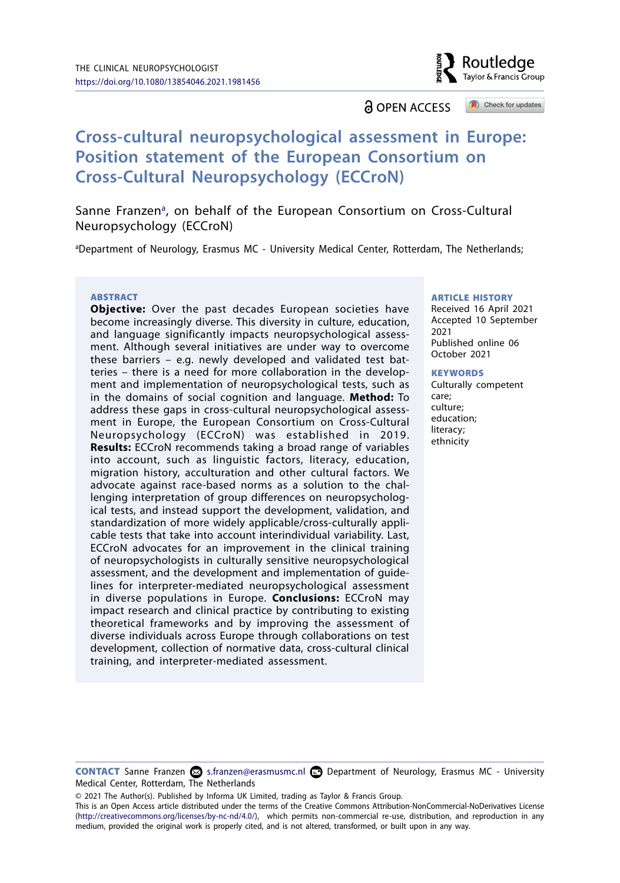**a** OPEN ACCESS

## **Cross-cultural neuropsychological assessment in Europe: Position statement of the European Consortium on Cross-Cultural Neuropsychology (ECCroN)**

S[a](#page-1-0)nne Franzen<sup>a</sup>, on behalf of the European Consortium on Cross-Cultural Neuropsychology (ECCroN)

<span id="page-1-0"></span>a Department of Neurology, Erasmus MC - University Medical Center, Rotterdam, The Netherlands;

#### **ABSTRACT**

**Objective:** Over the past decades European societies have become increasingly diverse. This diversity in culture, education, and language significantly impacts neuropsychological assessment. Although several initiatives are under way to overcome these barriers – e.g. newly developed and validated test batteries – there is a need for more collaboration in the development and implementation of neuropsychological tests, such as in the domains of social cognition and language. **Method:** To address these gaps in cross-cultural neuropsychological assessment in Europe, the European Consortium on Cross-Cultural Neuropsychology (ECCroN) was established in 2019. **Results:** ECCroN recommends taking a broad range of variables into account, such as linguistic factors, literacy, education, migration history, acculturation and other cultural factors. We advocate against race-based norms as a solution to the challenging interpretation of group differences on neuropsychological tests, and instead support the development, validation, and standardization of more widely applicable/cross-culturally applicable tests that take into account interindividual variability. Last, ECCroN advocates for an improvement in the clinical training of neuropsychologists in culturally sensitive neuropsychological assessment, and the development and implementation of guidelines for interpreter-mediated neuropsychological assessment in diverse populations in Europe. **Conclusions:** ECCroN may impact research and clinical practice by contributing to existing theoretical frameworks and by improving the assessment of diverse individuals across Europe through collaborations on test development, collection of normative data, cross-cultural clinical training, and interpreter-mediated assessment.

#### ARTICLE HISTORY

Received 16 April 2021 Accepted 10 September 2021 Published online 06 October 2021

Routledge Tavlor & Francis Group

Check for updates

#### **KEYWORDS**

Culturally competent care; culture; education; literacy; ethnicity

**CONTACT** Sanne Franzen  $\Omega$  [s.franzen@erasmusmc.nl](mailto:s.franzen@erasmusmc.nl)  $\Omega$  Department of Neurology, Erasmus MC - University Medical Center, Rotterdam, The Netherlands

© 2021 The Author(s). Published by Informa UK Limited, trading as Taylor & Francis Group.

This is an Open Access article distributed under the terms of the Creative Commons Attribution-NonCommercial-NoDerivatives License ([http://creativecommons.org/licenses/by-nc-nd/4.0/\)](http://creativecommons.org/licenses/by-nc-nd/4.0/), which permits non-commercial re-use, distribution, and reproduction in any medium, provided the original work is properly cited, and is not altered, transformed, or built upon in any way.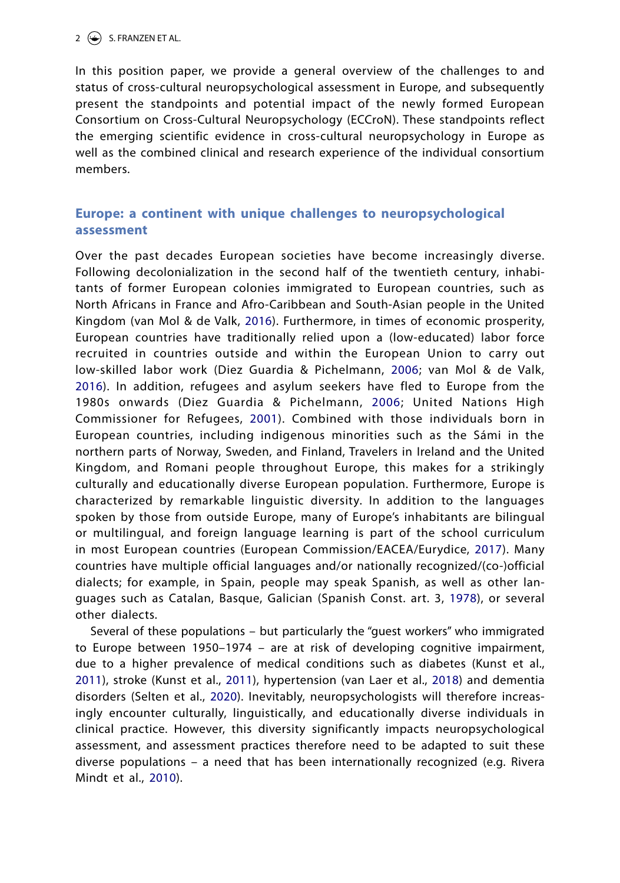In this position paper, we provide a general overview of the challenges to and status of cross-cultural neuropsychological assessment in Europe, and subsequently present the standpoints and potential impact of the newly formed European Consortium on Cross-Cultural Neuropsychology (ECCroN). These standpoints reflect the emerging scientific evidence in cross-cultural neuropsychology in Europe as well as the combined clinical and research experience of the individual consortium members.

## **Europe: a continent with unique challenges to neuropsychological assessment**

<span id="page-2-8"></span><span id="page-2-6"></span><span id="page-2-0"></span>Over the past decades European societies have become increasingly diverse. Following decolonialization in the second half of the twentieth century, inhabitants of former European colonies immigrated to European countries, such as North Africans in France and Afro-Caribbean and South-Asian people in the United Kingdom (van Mol & de Valk, [2016\)](#page-12-0). Furthermore, in times of economic prosperity, European countries have traditionally relied upon a (low-educated) labor force recruited in countries outside and within the European Union to carry out low-skilled labor work (Diez Guardia & Pichelmann, [2006](#page-10-0); van Mol & de Valk, [2016\)](#page-12-1). In addition, refugees and asylum seekers have fled to Europe from the 1980s onwards (Diez Guardia & Pichelmann, [2006](#page-10-1); United Nations High Commissioner for Refugees, [2001](#page-12-2)). Combined with those individuals born in European countries, including indigenous minorities such as the Sámi in the northern parts of Norway, Sweden, and Finland, Travelers in Ireland and the United Kingdom, and Romani people throughout Europe, this makes for a strikingly culturally and educationally diverse European population. Furthermore, Europe is characterized by remarkable linguistic diversity. In addition to the languages spoken by those from outside Europe, many of Europe's inhabitants are bilingual or multilingual, and foreign language learning is part of the school curriculum in most European countries (European Commission/EACEA/Eurydice, [2017\)](#page-10-2). Many countries have multiple official languages and/or nationally recognized/(co-)official dialects; for example, in Spain, people may speak Spanish, as well as other languages such as Catalan, Basque, Galician (Spanish Const. art. 3, [1978](#page-12-3)), or several other dialects.

<span id="page-2-7"></span><span id="page-2-5"></span><span id="page-2-4"></span><span id="page-2-3"></span><span id="page-2-2"></span><span id="page-2-1"></span>Several of these populations – but particularly the "guest workers" who immigrated to Europe between 1950–1974 – are at risk of developing cognitive impairment, due to a higher prevalence of medical conditions such as diabetes (Kunst et al., [2011](#page-11-0)), stroke (Kunst et al., [2011](#page-11-1)), hypertension (van Laer et al., [2018](#page-12-4)) and dementia disorders (Selten et al., [2020\)](#page-12-5). Inevitably, neuropsychologists will therefore increasingly encounter culturally, linguistically, and educationally diverse individuals in clinical practice. However, this diversity significantly impacts neuropsychological assessment, and assessment practices therefore need to be adapted to suit these diverse populations – a need that has been internationally recognized (e.g. Rivera Mindt et al., [2010](#page-12-6)).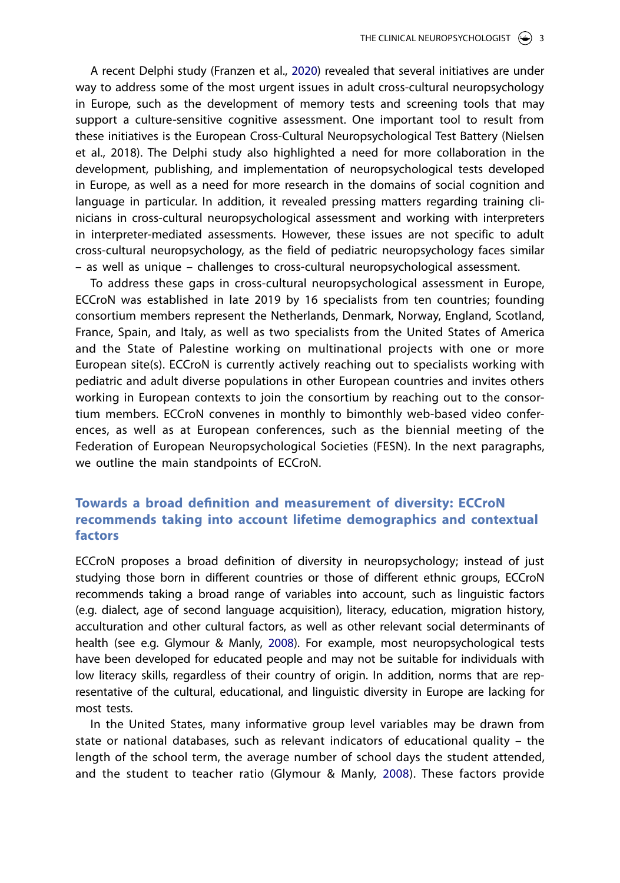<span id="page-3-0"></span>A recent Delphi study (Franzen et al., [2020\)](#page-10-3) revealed that several initiatives are under way to address some of the most urgent issues in adult cross-cultural neuropsychology in Europe, such as the development of memory tests and screening tools that may support a culture-sensitive cognitive assessment. One important tool to result from these initiatives is the European Cross-Cultural Neuropsychological Test Battery (Nielsen et al., 2018). The Delphi study also highlighted a need for more collaboration in the development, publishing, and implementation of neuropsychological tests developed in Europe, as well as a need for more research in the domains of social cognition and language in particular. In addition, it revealed pressing matters regarding training clinicians in cross-cultural neuropsychological assessment and working with interpreters in interpreter-mediated assessments. However, these issues are not specific to adult cross-cultural neuropsychology, as the field of pediatric neuropsychology faces similar – as well as unique – challenges to cross-cultural neuropsychological assessment.

To address these gaps in cross-cultural neuropsychological assessment in Europe, ECCroN was established in late 2019 by 16 specialists from ten countries; founding consortium members represent the Netherlands, Denmark, Norway, England, Scotland, France, Spain, and Italy, as well as two specialists from the United States of America and the State of Palestine working on multinational projects with one or more European site(s). ECCroN is currently actively reaching out to specialists working with pediatric and adult diverse populations in other European countries and invites others working in European contexts to join the consortium by reaching out to the consortium members. ECCroN convenes in monthly to bimonthly web-based video conferences, as well as at European conferences, such as the biennial meeting of the Federation of European Neuropsychological Societies (FESN). In the next paragraphs, we outline the main standpoints of ECCroN.

## **Towards a broad definition and measurement of diversity: ECCroN recommends taking into account lifetime demographics and contextual factors**

<span id="page-3-1"></span>ECCroN proposes a broad definition of diversity in neuropsychology; instead of just studying those born in different countries or those of different ethnic groups, ECCroN recommends taking a broad range of variables into account, such as linguistic factors (e.g. dialect, age of second language acquisition), literacy, education, migration history, acculturation and other cultural factors, as well as other relevant social determinants of health (see e.g. Glymour & Manly, [2008\)](#page-10-4). For example, most neuropsychological tests have been developed for educated people and may not be suitable for individuals with low literacy skills, regardless of their country of origin. In addition, norms that are representative of the cultural, educational, and linguistic diversity in Europe are lacking for most tests.

In the United States, many informative group level variables may be drawn from state or national databases, such as relevant indicators of educational quality – the length of the school term, the average number of school days the student attended, and the student to teacher ratio (Glymour & Manly, [2008\)](#page-10-5). These factors provide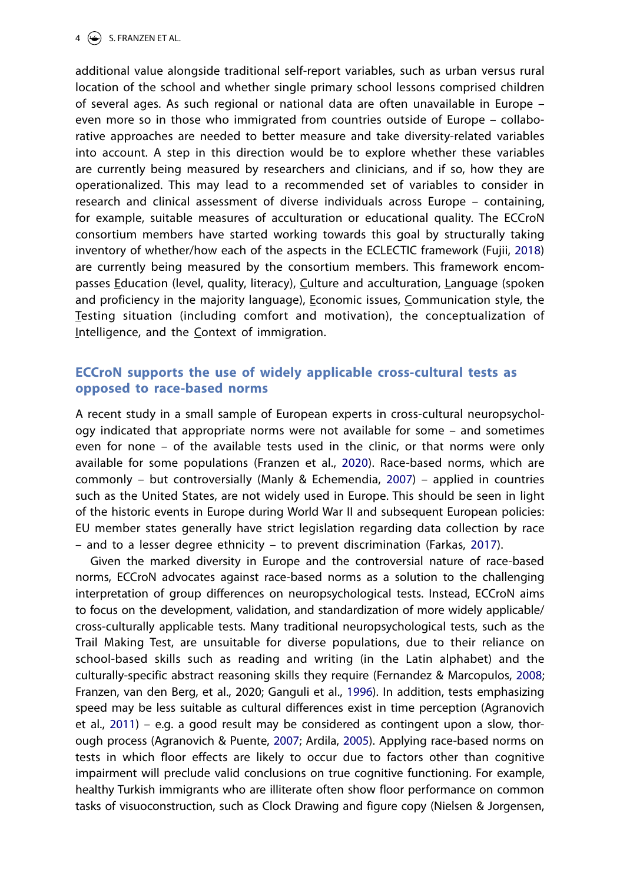additional value alongside traditional self-report variables, such as urban versus rural location of the school and whether single primary school lessons comprised children of several ages. As such regional or national data are often unavailable in Europe – even more so in those who immigrated from countries outside of Europe – collaborative approaches are needed to better measure and take diversity-related variables into account. A step in this direction would be to explore whether these variables are currently being measured by researchers and clinicians, and if so, how they are operationalized. This may lead to a recommended set of variables to consider in research and clinical assessment of diverse individuals across Europe – containing, for example, suitable measures of acculturation or educational quality. The ECCroN consortium members have started working towards this goal by structurally taking inventory of whether/how each of the aspects in the ECLECTIC framework (Fujii, [2018](#page-10-6)) are currently being measured by the consortium members. This framework encompasses Education (level, quality, literacy), Culture and acculturation, Language (spoken and proficiency in the majority language), Economic issues, Communication style, the Testing situation (including comfort and motivation), the conceptualization of Intelligence, and the Context of immigration.

### <span id="page-4-5"></span>**ECCroN supports the use of widely applicable cross-cultural tests as opposed to race-based norms**

<span id="page-4-7"></span>A recent study in a small sample of European experts in cross-cultural neuropsychology indicated that appropriate norms were not available for some – and sometimes even for none – of the available tests used in the clinic, or that norms were only available for some populations (Franzen et al., [2020](#page-10-3)). Race-based norms, which are commonly – but controversially (Manly & Echemendia, [2007](#page-11-2)) – applied in countries such as the United States, are not widely used in Europe. This should be seen in light of the historic events in Europe during World War II and subsequent European policies: EU member states generally have strict legislation regarding data collection by race – and to a lesser degree ethnicity – to prevent discrimination (Farkas, [2017](#page-10-7)).

<span id="page-4-6"></span><span id="page-4-4"></span><span id="page-4-3"></span><span id="page-4-2"></span><span id="page-4-1"></span><span id="page-4-0"></span>Given the marked diversity in Europe and the controversial nature of race-based norms, ECCroN advocates against race-based norms as a solution to the challenging interpretation of group differences on neuropsychological tests. Instead, ECCroN aims to focus on the development, validation, and standardization of more widely applicable/ cross-culturally applicable tests. Many traditional neuropsychological tests, such as the Trail Making Test, are unsuitable for diverse populations, due to their reliance on school-based skills such as reading and writing (in the Latin alphabet) and the culturally-specific abstract reasoning skills they require (Fernandez & Marcopulos, [2008](#page-10-8); Franzen, van den Berg, et al., 2020; Ganguli et al., [1996](#page-10-9)). In addition, tests emphasizing speed may be less suitable as cultural differences exist in time perception (Agranovich et al., [2011\)](#page-9-0) – e.g. a good result may be considered as contingent upon a slow, thorough process (Agranovich & Puente, [2007](#page-9-1); Ardila, [2005\)](#page-9-2). Applying race-based norms on tests in which floor effects are likely to occur due to factors other than cognitive impairment will preclude valid conclusions on true cognitive functioning. For example, healthy Turkish immigrants who are illiterate often show floor performance on common tasks of visuoconstruction, such as Clock Drawing and figure copy (Nielsen & Jorgensen,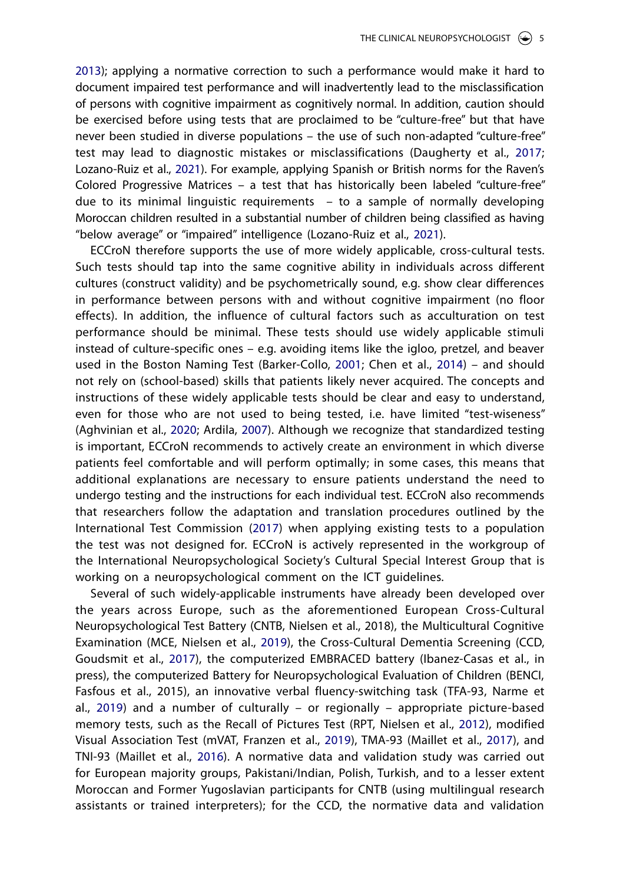<span id="page-5-12"></span><span id="page-5-4"></span>[2013\)](#page-11-3); applying a normative correction to such a performance would make it hard to document impaired test performance and will inadvertently lead to the misclassification of persons with cognitive impairment as cognitively normal. In addition, caution should be exercised before using tests that are proclaimed to be "culture-free" but that have never been studied in diverse populations – the use of such non-adapted "culture-free" test may lead to diagnostic mistakes or misclassifications (Daugherty et al., [2017](#page-10-10); Lozano-Ruiz et al., [2021\)](#page-11-4). For example, applying Spanish or British norms for the Raven's Colored Progressive Matrices – a test that has historically been labeled "culture-free" due to its minimal linguistic requirements – to a sample of normally developing Moroccan children resulted in a substantial number of children being classified as having "below average" or "impaired" intelligence (Lozano-Ruiz et al., [2021\)](#page-11-5).

<span id="page-5-8"></span><span id="page-5-3"></span><span id="page-5-2"></span>ECCroN therefore supports the use of more widely applicable, cross-cultural tests. Such tests should tap into the same cognitive ability in individuals across different cultures (construct validity) and be psychometrically sound, e.g. show clear differences in performance between persons with and without cognitive impairment (no floor effects). In addition, the influence of cultural factors such as acculturation on test performance should be minimal. These tests should use widely applicable stimuli instead of culture-specific ones – e.g. avoiding items like the igloo, pretzel, and beaver used in the Boston Naming Test (Barker-Collo, [2001;](#page-9-3) Chen et al., [2014](#page-9-4)) – and should not rely on (school-based) skills that patients likely never acquired. The concepts and instructions of these widely applicable tests should be clear and easy to understand, even for those who are not used to being tested, i.e. have limited "test-wiseness" (Aghvinian et al., [2020](#page-9-5); Ardila, [2007](#page-9-6)). Although we recognize that standardized testing is important, ECCroN recommends to actively create an environment in which diverse patients feel comfortable and will perform optimally; in some cases, this means that additional explanations are necessary to ensure patients understand the need to undergo testing and the instructions for each individual test. ECCroN also recommends that researchers follow the adaptation and translation procedures outlined by the International Test Commission ([2017](#page-11-6)) when applying existing tests to a population the test was not designed for. ECCroN is actively represented in the workgroup of the International Neuropsychological Society's Cultural Special Interest Group that is working on a neuropsychological comment on the ICT guidelines.

<span id="page-5-14"></span><span id="page-5-13"></span><span id="page-5-11"></span><span id="page-5-10"></span><span id="page-5-9"></span><span id="page-5-7"></span><span id="page-5-6"></span><span id="page-5-5"></span><span id="page-5-1"></span><span id="page-5-0"></span>Several of such widely-applicable instruments have already been developed over the years across Europe, such as the aforementioned European Cross-Cultural Neuropsychological Test Battery (CNTB, Nielsen et al., 2018), the Multicultural Cognitive Examination (MCE, Nielsen et al., [2019](#page-11-7)), the Cross-Cultural Dementia Screening (CCD, Goudsmit et al., [2017\)](#page-10-11), the computerized EMBRACED battery (Ibanez-Casas et al., in press), the computerized Battery for Neuropsychological Evaluation of Children (BENCI, Fasfous et al., 2015), an innovative verbal fluency-switching task (TFA-93, Narme et al., [2019\)](#page-11-8) and a number of culturally – or regionally – appropriate picture-based memory tests, such as the Recall of Pictures Test (RPT, Nielsen et al., [2012](#page-12-7)), modified Visual Association Test (mVAT, Franzen et al., [2019](#page-10-12)), TMA-93 (Maillet et al., [2017](#page-11-9)), and TNI-93 (Maillet et al., [2016\)](#page-11-10). A normative data and validation study was carried out for European majority groups, Pakistani/Indian, Polish, Turkish, and to a lesser extent Moroccan and Former Yugoslavian participants for CNTB (using multilingual research assistants or trained interpreters); for the CCD, the normative data and validation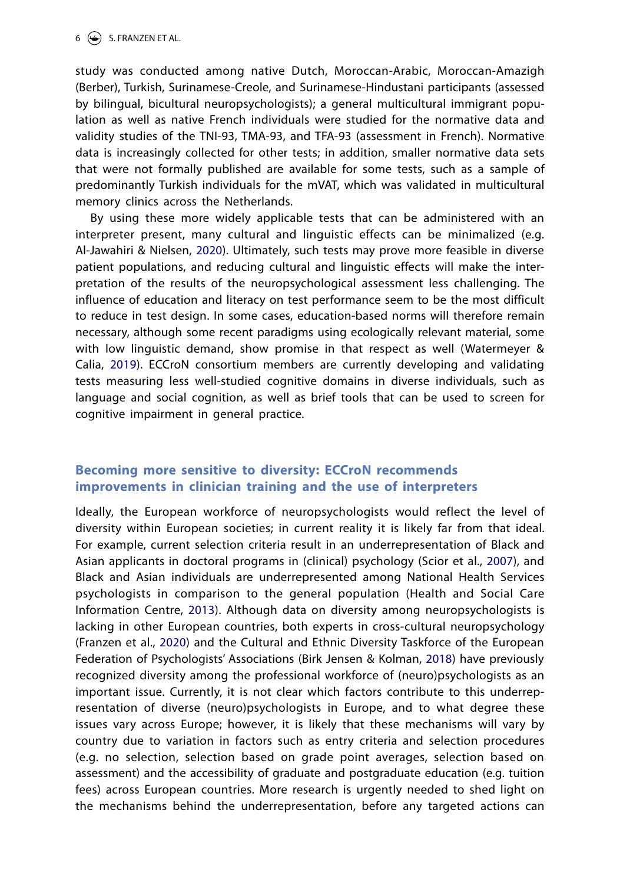study was conducted among native Dutch, Moroccan-Arabic, Moroccan-Amazigh (Berber), Turkish, Surinamese-Creole, and Surinamese-Hindustani participants (assessed by bilingual, bicultural neuropsychologists); a general multicultural immigrant population as well as native French individuals were studied for the normative data and validity studies of the TNI-93, TMA-93, and TFA-93 (assessment in French). Normative data is increasingly collected for other tests; in addition, smaller normative data sets that were not formally published are available for some tests, such as a sample of predominantly Turkish individuals for the mVAT, which was validated in multicultural memory clinics across the Netherlands.

By using these more widely applicable tests that can be administered with an interpreter present, many cultural and linguistic effects can be minimalized (e.g. Al-Jawahiri & Nielsen, 2020). Ultimately, such tests may prove more feasible in diverse patient populations, and reducing cultural and linguistic effects will make the interpretation of the results of the neuropsychological assessment less challenging. The influence of education and literacy on test performance seem to be the most difficult to reduce in test design. In some cases, education-based norms will therefore remain necessary, although some recent paradigms using ecologically relevant material, some with low linguistic demand, show promise in that respect as well (Watermeyer & Calia, [2019\)](#page-12-8). ECCroN consortium members are currently developing and validating tests measuring less well-studied cognitive domains in diverse individuals, such as language and social cognition, as well as brief tools that can be used to screen for cognitive impairment in general practice.

## <span id="page-6-3"></span>**Becoming more sensitive to diversity: ECCroN recommends improvements in clinician training and the use of interpreters**

<span id="page-6-2"></span><span id="page-6-1"></span><span id="page-6-0"></span>Ideally, the European workforce of neuropsychologists would reflect the level of diversity within European societies; in current reality it is likely far from that ideal. For example, current selection criteria result in an underrepresentation of Black and Asian applicants in doctoral programs in (clinical) psychology (Scior et al., [2007](#page-12-9)), and Black and Asian individuals are underrepresented among National Health Services psychologists in comparison to the general population (Health and Social Care Information Centre, [2013](#page-11-11)). Although data on diversity among neuropsychologists is lacking in other European countries, both experts in cross-cultural neuropsychology (Franzen et al., [2020](#page-10-3)) and the Cultural and Ethnic Diversity Taskforce of the European Federation of Psychologists' Associations (Birk Jensen & Kolman, [2018\)](#page-9-7) have previously recognized diversity among the professional workforce of (neuro)psychologists as an important issue. Currently, it is not clear which factors contribute to this underrepresentation of diverse (neuro)psychologists in Europe, and to what degree these issues vary across Europe; however, it is likely that these mechanisms will vary by country due to variation in factors such as entry criteria and selection procedures (e.g. no selection, selection based on grade point averages, selection based on assessment) and the accessibility of graduate and postgraduate education (e.g. tuition fees) across European countries. More research is urgently needed to shed light on the mechanisms behind the underrepresentation, before any targeted actions can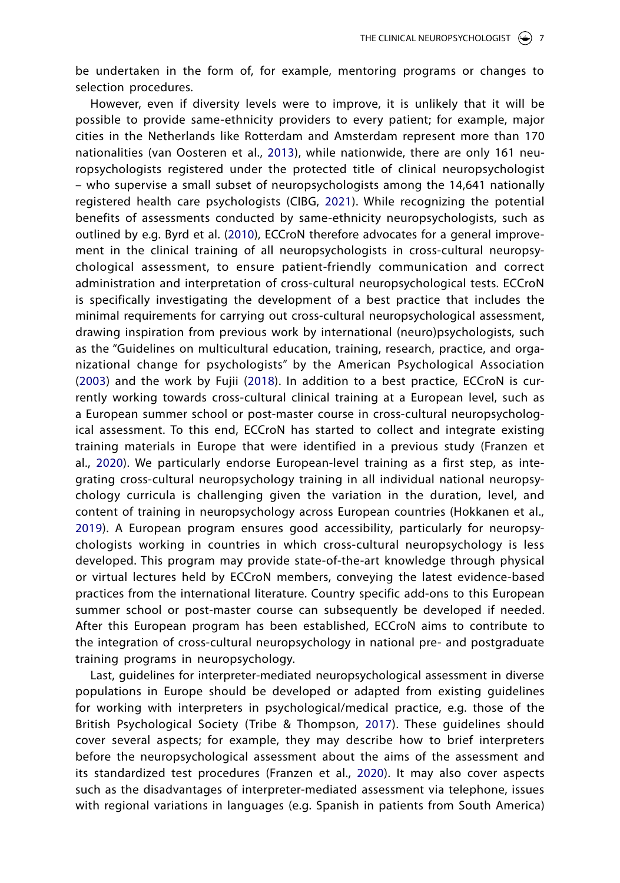be undertaken in the form of, for example, mentoring programs or changes to selection procedures.

<span id="page-7-5"></span><span id="page-7-2"></span><span id="page-7-1"></span><span id="page-7-0"></span>However, even if diversity levels were to improve, it is unlikely that it will be possible to provide same-ethnicity providers to every patient; for example, major cities in the Netherlands like Rotterdam and Amsterdam represent more than 170 nationalities (van Oosteren et al., [2013](#page-12-10)), while nationwide, there are only 161 neuropsychologists registered under the protected title of clinical neuropsychologist – who supervise a small subset of neuropsychologists among the 14,641 nationally registered health care psychologists (CIBG, [2021](#page-10-13)). While recognizing the potential benefits of assessments conducted by same-ethnicity neuropsychologists, such as outlined by e.g. Byrd et al. ([2010](#page-9-8)), ECCroN therefore advocates for a general improvement in the clinical training of all neuropsychologists in cross-cultural neuropsychological assessment, to ensure patient-friendly communication and correct administration and interpretation of cross-cultural neuropsychological tests. ECCroN is specifically investigating the development of a best practice that includes the minimal requirements for carrying out cross-cultural neuropsychological assessment, drawing inspiration from previous work by international (neuro)psychologists, such as the "Guidelines on multicultural education, training, research, practice, and organizational change for psychologists" by the American Psychological Association ([2003](#page-9-9)) and the work by Fujii ([2018\)](#page-10-14). In addition to a best practice, ECCroN is currently working towards cross-cultural clinical training at a European level, such as a European summer school or post-master course in cross-cultural neuropsychological assessment. To this end, ECCroN has started to collect and integrate existing training materials in Europe that were identified in a previous study (Franzen et al., [2020](#page-10-3)). We particularly endorse European-level training as a first step, as integrating cross-cultural neuropsychology training in all individual national neuropsychology curricula is challenging given the variation in the duration, level, and content of training in neuropsychology across European countries (Hokkanen et al., [2019](#page-11-12)). A European program ensures good accessibility, particularly for neuropsychologists working in countries in which cross-cultural neuropsychology is less developed. This program may provide state-of-the-art knowledge through physical or virtual lectures held by ECCroN members, conveying the latest evidence-based practices from the international literature. Country specific add-ons to this European summer school or post-master course can subsequently be developed if needed. After this European program has been established, ECCroN aims to contribute to the integration of cross-cultural neuropsychology in national pre- and postgraduate training programs in neuropsychology.

<span id="page-7-4"></span><span id="page-7-3"></span>Last, guidelines for interpreter-mediated neuropsychological assessment in diverse populations in Europe should be developed or adapted from existing guidelines for working with interpreters in psychological/medical practice, e.g. those of the British Psychological Society (Tribe & Thompson, [2017](#page-12-11)). These guidelines should cover several aspects; for example, they may describe how to brief interpreters before the neuropsychological assessment about the aims of the assessment and its standardized test procedures (Franzen et al., [2020\)](#page-10-3). It may also cover aspects such as the disadvantages of interpreter-mediated assessment via telephone, issues with regional variations in languages (e.g. Spanish in patients from South America)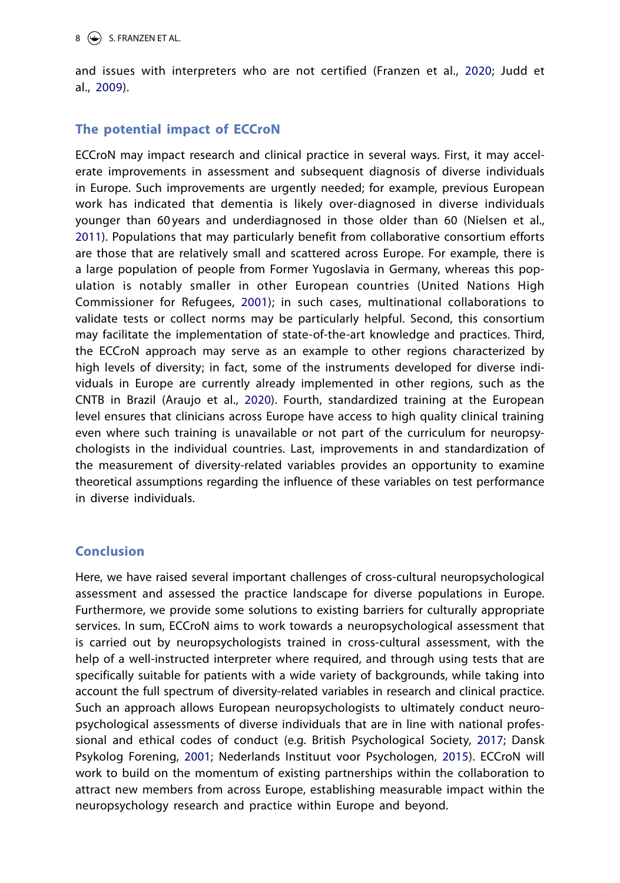<span id="page-8-3"></span>and issues with interpreters who are not certified (Franzen et al., [2020](#page-10-15); Judd et al., [2009\)](#page-11-13).

## **The potential impact of ECCroN**

<span id="page-8-5"></span>ECCroN may impact research and clinical practice in several ways. First, it may accelerate improvements in assessment and subsequent diagnosis of diverse individuals in Europe. Such improvements are urgently needed; for example, previous European work has indicated that dementia is likely over-diagnosed in diverse individuals younger than 60 years and underdiagnosed in those older than 60 (Nielsen et al., [2011\)](#page-12-12). Populations that may particularly benefit from collaborative consortium efforts are those that are relatively small and scattered across Europe. For example, there is a large population of people from Former Yugoslavia in Germany, whereas this population is notably smaller in other European countries (United Nations High Commissioner for Refugees, [2001](#page-12-13)); in such cases, multinational collaborations to validate tests or collect norms may be particularly helpful. Second, this consortium may facilitate the implementation of state-of-the-art knowledge and practices. Third, the ECCroN approach may serve as an example to other regions characterized by high levels of diversity; in fact, some of the instruments developed for diverse individuals in Europe are currently already implemented in other regions, such as the CNTB in Brazil (Araujo et al., [2020\)](#page-9-10). Fourth, standardized training at the European level ensures that clinicians across Europe have access to high quality clinical training even where such training is unavailable or not part of the curriculum for neuropsychologists in the individual countries. Last, improvements in and standardization of the measurement of diversity-related variables provides an opportunity to examine theoretical assumptions regarding the influence of these variables on test performance in diverse individuals.

## <span id="page-8-0"></span>**Conclusion**

<span id="page-8-4"></span><span id="page-8-2"></span><span id="page-8-1"></span>Here, we have raised several important challenges of cross-cultural neuropsychological assessment and assessed the practice landscape for diverse populations in Europe. Furthermore, we provide some solutions to existing barriers for culturally appropriate services. In sum, ECCroN aims to work towards a neuropsychological assessment that is carried out by neuropsychologists trained in cross-cultural assessment, with the help of a well-instructed interpreter where required, and through using tests that are specifically suitable for patients with a wide variety of backgrounds, while taking into account the full spectrum of diversity-related variables in research and clinical practice. Such an approach allows European neuropsychologists to ultimately conduct neuropsychological assessments of diverse individuals that are in line with national professional and ethical codes of conduct (e.g. British Psychological Society, [2017](#page-9-11); Dansk Psykolog Forening, [2001;](#page-10-16) Nederlands Instituut voor Psychologen, [2015](#page-11-14)). ECCroN will work to build on the momentum of existing partnerships within the collaboration to attract new members from across Europe, establishing measurable impact within the neuropsychology research and practice within Europe and beyond.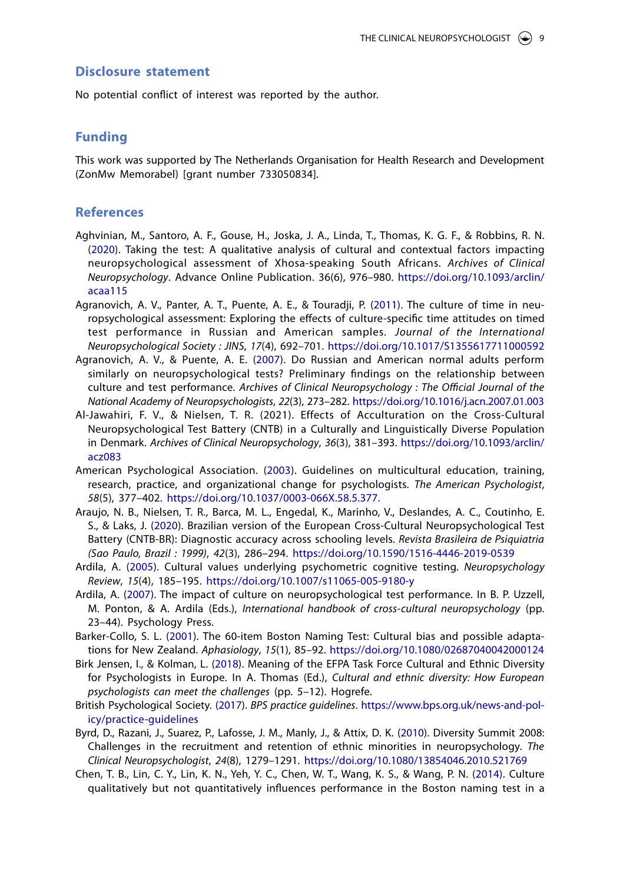#### **Disclosure statement**

No potential conflict of interest was reported by the author.

#### **Funding**

This work was supported by The Netherlands Organisation for Health Research and Development (ZonMw Memorabel) [grant number 733050834].

#### **References**

- <span id="page-9-5"></span>Aghvinian, M., Santoro, A. F., Gouse, H., Joska, J. A., Linda, T., Thomas, K. G. F., & Robbins, R. N. ([2020\)](#page-5-0). Taking the test: A qualitative analysis of cultural and contextual factors impacting neuropsychological assessment of Xhosa-speaking South Africans. *Archives of Clinical Neuropsychology*. Advance Online Publication. 36(6), 976–980. [https://doi.org/10.1093/arclin/](https://doi.org/10.1093/arclin/acaa115) [acaa115](https://doi.org/10.1093/arclin/acaa115)
- <span id="page-9-0"></span>Agranovich, A. V., Panter, A. T., Puente, A. E., & Touradji, P. [\(2011](#page-4-0)). The culture of time in neuropsychological assessment: Exploring the effects of culture-specific time attitudes on timed test performance in Russian and American samples. *Journal of the International Neuropsychological Society : JINS*, *17*(4), 692–701. <https://doi.org/10.1017/S1355617711000592>
- <span id="page-9-1"></span>Agranovich, A. V., & Puente, A. E. ([2007\)](#page-4-1). Do Russian and American normal adults perform similarly on neuropsychological tests? Preliminary findings on the relationship between culture and test performance. *Archives of Clinical Neuropsychology : The Official Journal of the National Academy of Neuropsychologists*, *22*(3), 273–282. <https://doi.org/10.1016/j.acn.2007.01.003>
- Al-Jawahiri, F. V., & Nielsen, T. R. (2021). Effects of Acculturation on the Cross-Cultural Neuropsychological Test Battery (CNTB) in a Culturally and Linguistically Diverse Population in Denmark. *Archives of Clinical Neuropsychology*, *36*(3), 381–393. [https://doi.org/10.1093/arclin/](https://doi.org/10.1093/arclin/acz083  ) [acz083](https://doi.org/10.1093/arclin/acz083  )
- <span id="page-9-9"></span>American Psychological Association. [\(2003\)](#page-7-0). Guidelines on multicultural education, training, research, practice, and organizational change for psychologists. *The American Psychologist*, *58*(5), 377–402. [https://doi.org/10.1037/0003-066X.58.5.377.](https://doi.org/10.1037/0003-066X.58.5.377)
- <span id="page-9-10"></span>Araujo, N. B., Nielsen, T. R., Barca, M. L., Engedal, K., Marinho, V., Deslandes, A. C., Coutinho, E. S., & Laks, J. ([2020\)](#page-8-0). Brazilian version of the European Cross-Cultural Neuropsychological Test Battery (CNTB-BR): Diagnostic accuracy across schooling levels. *Revista Brasileira de Psiquiatria (Sao Paulo, Brazil : 1999)*, *42*(3), 286–294. <https://doi.org/10.1590/1516-4446-2019-0539>
- <span id="page-9-2"></span>Ardila, A. [\(2005](#page-4-2)). Cultural values underlying psychometric cognitive testing. *Neuropsychology Review*, *15*(4), 185–195. <https://doi.org/10.1007/s11065-005-9180-y>
- <span id="page-9-6"></span>Ardila, A. ([2007\)](#page-5-1). The impact of culture on neuropsychological test performance. In B. P. Uzzell, M. Ponton, & A. Ardila (Eds.), *International handbook of cross-cultural neuropsychology* (pp. 23–44). Psychology Press.
- <span id="page-9-3"></span>Barker-Collo, S. L. ([2001\)](#page-5-2). The 60-item Boston Naming Test: Cultural bias and possible adaptations for New Zealand. *Aphasiology*, *15*(1), 85–92. <https://doi.org/10.1080/02687040042000124>
- <span id="page-9-7"></span>Birk Jensen, I., & Kolman, L. [\(2018\)](#page-6-0). Meaning of the EFPA Task Force Cultural and Ethnic Diversity for Psychologists in Europe. In A. Thomas (Ed.), *Cultural and ethnic diversity: How European psychologists can meet the challenges* (pp. 5–12). Hogrefe.
- <span id="page-9-11"></span>British Psychological Society. [\(2017](#page-8-1)). *BPS practice guidelines*. [https://www.bps.org.uk/news-and-pol](https://www.bps.org.uk/news-and-policy/practice-guidelines)[icy/practice-guidelines](https://www.bps.org.uk/news-and-policy/practice-guidelines)
- <span id="page-9-8"></span>Byrd, D., Razani, J., Suarez, P., Lafosse, J. M., Manly, J., & Attix, D. K. ([2010](#page-7-1)). Diversity Summit 2008: Challenges in the recruitment and retention of ethnic minorities in neuropsychology. *The Clinical Neuropsychologist*, *24*(8), 1279–1291. <https://doi.org/10.1080/13854046.2010.521769>
- <span id="page-9-4"></span>Chen, T. B., Lin, C. Y., Lin, K. N., Yeh, Y. C., Chen, W. T., Wang, K. S., & Wang, P. N. ([2014](#page-5-3)). Culture qualitatively but not quantitatively influences performance in the Boston naming test in a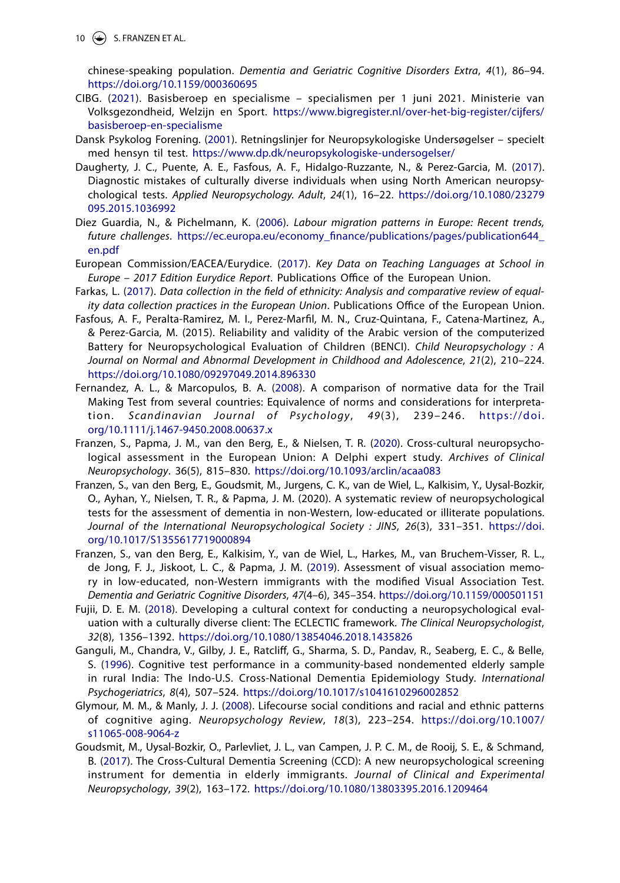10  $\left(\rightarrow\right)$  S. FRANZEN ET AL.

chinese-speaking population. *Dementia and Geriatric Cognitive Disorders Extra*, *4*(1), 86–94. <https://doi.org/10.1159/000360695>

- <span id="page-10-13"></span>CIBG. ([2021\)](#page-7-2). Basisberoep en specialisme – specialismen per 1 juni 2021. Ministerie van Volksgezondheid, Welzijn en Sport. [https://www.bigregister.nl/over-het-big-register/cijfers/](https://www.bigregister.nl/over-het-big-register/cijfers/basisberoep-en-specialisme) [basisberoep-en-specialisme](https://www.bigregister.nl/over-het-big-register/cijfers/basisberoep-en-specialisme)
- <span id="page-10-16"></span>Dansk Psykolog Forening. [\(2001](#page-8-2)). Retningslinjer for Neuropsykologiske Undersøgelser – specielt med hensyn til test. <https://www.dp.dk/neuropsykologiske-undersogelser/>
- <span id="page-10-10"></span>Daugherty, J. C., Puente, A. E., Fasfous, A. F., Hidalgo-Ruzzante, N., & Perez-Garcia, M. ([2017\)](#page-5-4). Diagnostic mistakes of culturally diverse individuals when using North American neuropsychological tests. *Applied Neuropsychology. Adult*, *24*(1), 16–22. [https://doi.org/10.1080/23279](https://doi.org/10.1080/23279095.2015.1036992) [095.2015.1036992](https://doi.org/10.1080/23279095.2015.1036992)
- <span id="page-10-1"></span><span id="page-10-0"></span>Diez Guardia, N., & Pichelmann, K. [\(2006](#page-2-0)). *Labour migration patterns in Europe: Recent trends, future challenges*. [https://ec.europa.eu/economy\\_finance/publications/pages/publication644\\_](https://ec.europa.eu/economy_finance/publications/pages/publication644_en.pdf) [en.pdf](https://ec.europa.eu/economy_finance/publications/pages/publication644_en.pdf)
- <span id="page-10-2"></span>European Commission/EACEA/Eurydice. ([2017\)](#page-2-1). *Key Data on Teaching Languages at School in Europe – 2017 Edition Eurydice Report*. Publications Office of the European Union.
- <span id="page-10-7"></span>Farkas, L. ([2017\)](#page-4-3). *Data collection in the field of ethnicity: Analysis and comparative review of equality data collection practices in the European Union*. Publications Office of the European Union.
- Fasfous, A. F., Peralta-Ramirez, M. I., Perez-Marfil, M. N., Cruz-Quintana, F., Catena-Martinez, A., & Perez-Garcia, M. (2015). Reliability and validity of the Arabic version of the computerized Battery for Neuropsychological Evaluation of Children (BENCI). *Child Neuropsychology : A Journal on Normal and Abnormal Development in Childhood and Adolescence*, *21*(2), 210–224. <https://doi.org/10.1080/09297049.2014.896330>
- <span id="page-10-8"></span>Fernandez, A. L., & Marcopulos, B. A. ([2008](#page-4-4)). A comparison of normative data for the Trail Making Test from several countries: Equivalence of norms and considerations for interpretation. *Scandinavian Journal of Psychology*, *49*(3), 239–246. [https://doi.](https://doi.org/10.1111/j.1467-9450.2008.00637.x) [org/10.1111/j.1467-9450.2008.00637.x](https://doi.org/10.1111/j.1467-9450.2008.00637.x)
- <span id="page-10-15"></span><span id="page-10-3"></span>Franzen, S., Papma, J. M., van den Berg, E., & Nielsen, T. R. [\(2020](#page-3-0)). Cross-cultural neuropsychological assessment in the European Union: A Delphi expert study. *Archives of Clinical Neuropsychology*. 36(5), 815–830. <https://doi.org/10.1093/arclin/acaa083>
- Franzen, S., van den Berg, E., Goudsmit, M., Jurgens, C. K., van de Wiel, L., Kalkisim, Y., Uysal-Bozkir, O., Ayhan, Y., Nielsen, T. R., & Papma, J. M. (2020). A systematic review of neuropsychological tests for the assessment of dementia in non-Western, low-educated or illiterate populations. *Journal of the International Neuropsychological Society : JINS*, *26*(3), 331–351. [https://doi.](https://doi.org/10.1017/S1355617719000894) [org/10.1017/S1355617719000894](https://doi.org/10.1017/S1355617719000894)
- <span id="page-10-12"></span>Franzen, S., van den Berg, E., Kalkisim, Y., van de Wiel, L., Harkes, M., van Bruchem-Visser, R. L., de Jong, F. J., Jiskoot, L. C., & Papma, J. M. ([2019\)](#page-5-5). Assessment of visual association memory in low-educated, non-Western immigrants with the modified Visual Association Test. *Dementia and Geriatric Cognitive Disorders*, *47*(4–6), 345–354. <https://doi.org/10.1159/000501151>
- <span id="page-10-14"></span><span id="page-10-6"></span>Fujii, D. E. M. ([2018\)](#page-4-5). Developing a cultural context for conducting a neuropsychological evaluation with a culturally diverse client: The ECLECTIC framework. *The Clinical Neuropsychologist*, *32*(8), 1356–1392. <https://doi.org/10.1080/13854046.2018.1435826>
- <span id="page-10-9"></span>Ganguli, M., Chandra, V., Gilby, J. E., Ratcliff, G., Sharma, S. D., Pandav, R., Seaberg, E. C., & Belle, S. ([1996\)](#page-4-6). Cognitive test performance in a community-based nondemented elderly sample in rural India: The Indo-U.S. Cross-National Dementia Epidemiology Study. *International Psychogeriatrics*, *8*(4), 507–524. <https://doi.org/10.1017/s1041610296002852>
- <span id="page-10-5"></span><span id="page-10-4"></span>Glymour, M. M., & Manly, J. J. [\(2008](#page-3-1)). Lifecourse social conditions and racial and ethnic patterns of cognitive aging. *Neuropsychology Review*, *18*(3), 223–254. [https://doi.org/10.1007/](https://doi.org/10.1007/s11065-008-9064-z) [s11065-008-9064-z](https://doi.org/10.1007/s11065-008-9064-z)
- <span id="page-10-11"></span>Goudsmit, M., Uysal-Bozkir, O., Parlevliet, J. L., van Campen, J. P. C. M., de Rooij, S. E., & Schmand, B. [\(2017](#page-5-6)). The Cross-Cultural Dementia Screening (CCD): A new neuropsychological screening instrument for dementia in elderly immigrants. *Journal of Clinical and Experimental Neuropsychology*, *39*(2), 163–172. <https://doi.org/10.1080/13803395.2016.1209464>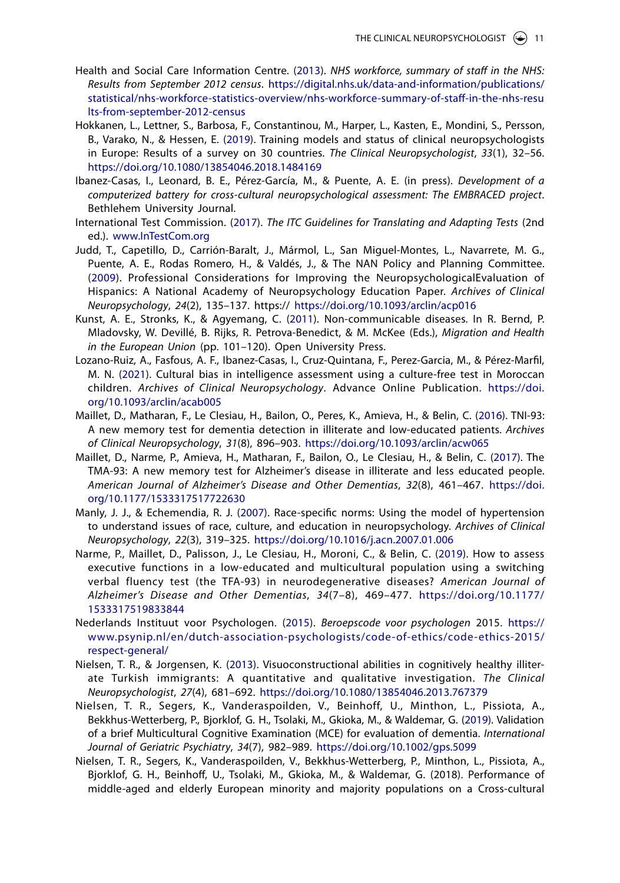- <span id="page-11-11"></span>Health and Social Care Information Centre. [\(2013](#page-6-1)). *NHS workforce, summary of staff in the NHS: Results from September 2012 census*. [https://digital.nhs.uk/data-and-information/publications/](https://digital.nhs.uk/data-and-information/publications/statistical/nhs-workforce-statistics-overview/nhs-workforce-summary-of-staff-in-the-nhs-results-from-september-2012-census) [statistical/nhs-workforce-statistics-overview/nhs-workforce-summary-of-staff-in-the-nhs-resu](https://digital.nhs.uk/data-and-information/publications/statistical/nhs-workforce-statistics-overview/nhs-workforce-summary-of-staff-in-the-nhs-results-from-september-2012-census) [lts-from-september-2012-census](https://digital.nhs.uk/data-and-information/publications/statistical/nhs-workforce-statistics-overview/nhs-workforce-summary-of-staff-in-the-nhs-results-from-september-2012-census)
- <span id="page-11-12"></span>Hokkanen, L., Lettner, S., Barbosa, F., Constantinou, M., Harper, L., Kasten, E., Mondini, S., Persson, B., Varako, N., & Hessen, E. [\(2019](#page-7-3)). Training models and status of clinical neuropsychologists in Europe: Results of a survey on 30 countries. *The Clinical Neuropsychologist*, *33*(1), 32–56. <https://doi.org/10.1080/13854046.2018.1484169>
- Ibanez-Casas, I., Leonard, B. E., Pérez-García, M., & Puente, A. E. (in press). *Development of a computerized battery for cross-cultural neuropsychological assessment: The EMBRACED project*. Bethlehem University Journal.
- <span id="page-11-6"></span>International Test Commission. ([2017\)](#page-5-7). *The ITC Guidelines for Translating and Adapting Tests* (2nd ed.). [www.InTestCom.org](http://www.InTestCom.org)
- <span id="page-11-13"></span>Judd, T., Capetillo, D., Carrión-Baralt, J., Mármol, L., San Miguel-Montes, L., Navarrete, M. G., Puente, A. E., Rodas Romero, H., & Valdés, J., & The NAN Policy and Planning Committee. ([2009](#page-8-3)). Professional Considerations for Improving the NeuropsychologicalEvaluation of Hispanics: A National Academy of Neuropsychology Education Paper. *Archives of Clinical Neuropsychology*, *24*(2), 135–137. https:// <https://doi.org/10.1093/arclin/acp016>
- <span id="page-11-1"></span><span id="page-11-0"></span>Kunst, A. E., Stronks, K., & Agyemang, C. ([2011](#page-2-2)). Non-communicable diseases. In R. Bernd, P. Mladovsky, W. Devillé, B. Rijks, R. Petrova-Benedict, & M. McKee (Eds.), *Migration and Health in the European Union* (pp. 101–120). Open University Press.
- <span id="page-11-5"></span><span id="page-11-4"></span>Lozano-Ruiz, A., Fasfous, A. F., Ibanez-Casas, I., Cruz-Quintana, F., Perez-Garcia, M., & Pérez-Marfil, M. N. [\(2021](#page-5-8)). Cultural bias in intelligence assessment using a culture-free test in Moroccan children. *Archives of Clinical Neuropsychology*. Advance Online Publication. [https://doi.](https://doi.org/10.1093/arclin/acab005) [org/10.1093/arclin/acab005](https://doi.org/10.1093/arclin/acab005)
- <span id="page-11-10"></span>Maillet, D., Matharan, F., Le Clesiau, H., Bailon, O., Peres, K., Amieva, H., & Belin, C. ([2016](#page-5-9)). TNI-93: A new memory test for dementia detection in illiterate and low-educated patients. *Archives of Clinical Neuropsychology*, *31*(8), 896–903. <https://doi.org/10.1093/arclin/acw065>
- <span id="page-11-9"></span>Maillet, D., Narme, P., Amieva, H., Matharan, F., Bailon, O., Le Clesiau, H., & Belin, C. ([2017\)](#page-5-10). The TMA-93: A new memory test for Alzheimer's disease in illiterate and less educated people. *American Journal of Alzheimer's Disease and Other Dementias*, *32*(8), 461–467. [https://doi.](https://doi.org/10.1177/1533317517722630) [org/10.1177/1533317517722630](https://doi.org/10.1177/1533317517722630)
- <span id="page-11-2"></span>Manly, J. J., & Echemendia, R. J. [\(2007](#page-4-7)). Race-specific norms: Using the model of hypertension to understand issues of race, culture, and education in neuropsychology. *Archives of Clinical Neuropsychology*, *22*(3), 319–325. <https://doi.org/10.1016/j.acn.2007.01.006>
- <span id="page-11-8"></span>Narme, P., Maillet, D., Palisson, J., Le Clesiau, H., Moroni, C., & Belin, C. [\(2019](#page-5-11)). How to assess executive functions in a low-educated and multicultural population using a switching verbal fluency test (the TFA-93) in neurodegenerative diseases? *American Journal of Alzheimer's Disease and Other Dementias*, *34*(7–8), 469–477. <https://doi.org/10.1177/> [1533317519833844](https://doi.org/10.1177/)
- <span id="page-11-14"></span>Nederlands Instituut voor Psychologen. [\(2015\)](#page-8-4). *Beroepscode voor psychologen* 2015. [https://](https://www.psynip.nl/en/dutch-association-psychologists/code-of-ethics/code-ethics-2015/respect-general/) [www.psynip.nl/en/dutch-association-psychologists/code-of-ethics/code-ethics-2015/](https://www.psynip.nl/en/dutch-association-psychologists/code-of-ethics/code-ethics-2015/respect-general/) [respect-general/](https://www.psynip.nl/en/dutch-association-psychologists/code-of-ethics/code-ethics-2015/respect-general/)
- <span id="page-11-3"></span>Nielsen, T. R., & Jorgensen, K. ([2013](#page-5-12)). Visuoconstructional abilities in cognitively healthy illiterate Turkish immigrants: A quantitative and qualitative investigation. *The Clinical Neuropsychologist*, *27*(4), 681–692. <https://doi.org/10.1080/13854046.2013.767379>
- <span id="page-11-7"></span>Nielsen, T. R., Segers, K., Vanderaspoilden, V., Beinhoff, U., Minthon, L., Pissiota, A., Bekkhus-Wetterberg, P., Bjorklof, G. H., Tsolaki, M., Gkioka, M., & Waldemar, G. ([2019\)](#page-5-13). Validation of a brief Multicultural Cognitive Examination (MCE) for evaluation of dementia. *International Journal of Geriatric Psychiatry*, *34*(7), 982–989. <https://doi.org/10.1002/gps.5099>
- Nielsen, T. R., Segers, K., Vanderaspoilden, V., Bekkhus-Wetterberg, P., Minthon, L., Pissiota, A., Bjorklof, G. H., Beinhoff, U., Tsolaki, M., Gkioka, M., & Waldemar, G. (2018). Performance of middle-aged and elderly European minority and majority populations on a Cross-cultural